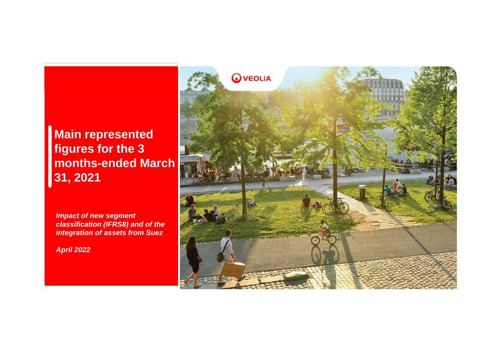**Main representedfigures for the 3 months-ended March31, 2021** 

**Impact of new segment classification (IFRS8) and of the integration of assets from Suez**

**April 2022**